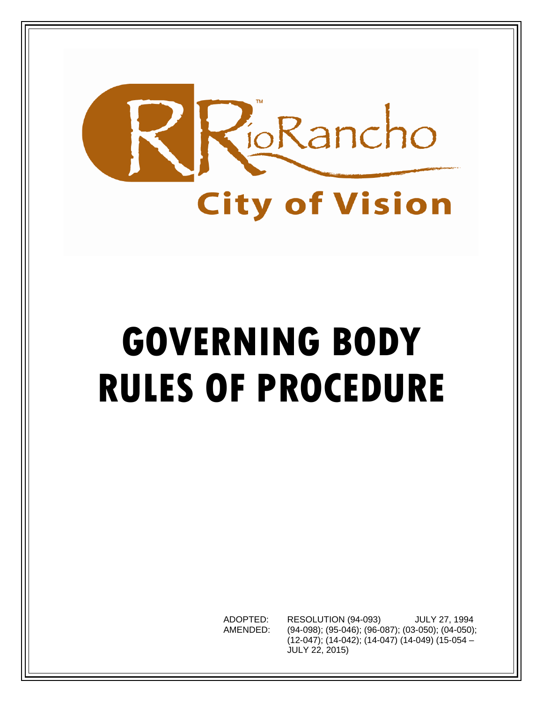

# **GOVERNING BODY RULES OF PROCEDURE**

ADOPTED: RESOLUTION (94-093) JULY 27, 1994 AMENDED: (94-098); (95-046); (96-087); (03-050); (04-050); (12-047); (14-042); (14-047) (14-049) (15-054 – JULY 22, 2015)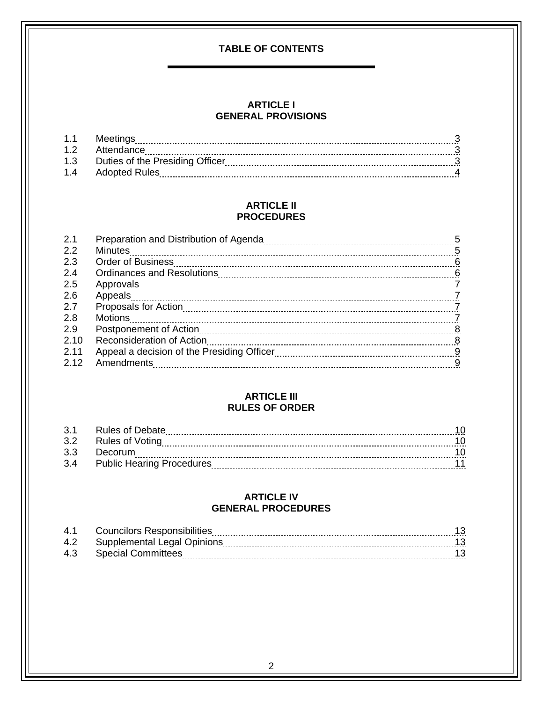# **TABLE OF CONTENTS**

#### **[ARTICLE I](#page-2-0) GENERAL PROVISIONS**

| 1.1 | Meetings                        |  |
|-----|---------------------------------|--|
| 12  | Attendance                      |  |
| 1.3 | Duties of the Presiding Officer |  |
| 14  | Adopted Rules                   |  |

#### **ARTICLE II PROCEDURES**

| 2.1  |                          |                |
|------|--------------------------|----------------|
| 2.2  |                          |                |
| 2.3  | <b>Order of Business</b> |                |
| 2.4  |                          |                |
| 2.5  |                          |                |
| 2.6  |                          |                |
| 2.7  |                          |                |
| 2.8  |                          |                |
| 2.9  |                          | 8 <sup>8</sup> |
| 2.10 |                          |                |
| 2.11 |                          |                |
| 2.12 |                          | -9             |
|      |                          |                |

#### **ARTICLE III RULES OF ORDER**

| $\cdot$ 3.1 | Rules of Debate                  |  |
|-------------|----------------------------------|--|
| .3.2        | Rules of Voting                  |  |
| 33          | Decorum                          |  |
| 3.4         | <b>Public Hearing Procedures</b> |  |

#### **ARTICLE IV GENERAL PROCEDURES**

| <b>41</b> | <b>Councilors Responsibilities</b> |  |
|-----------|------------------------------------|--|
|           | 4.2 Supplemental Legal Opinions    |  |
|           | 4.3 Special Committees             |  |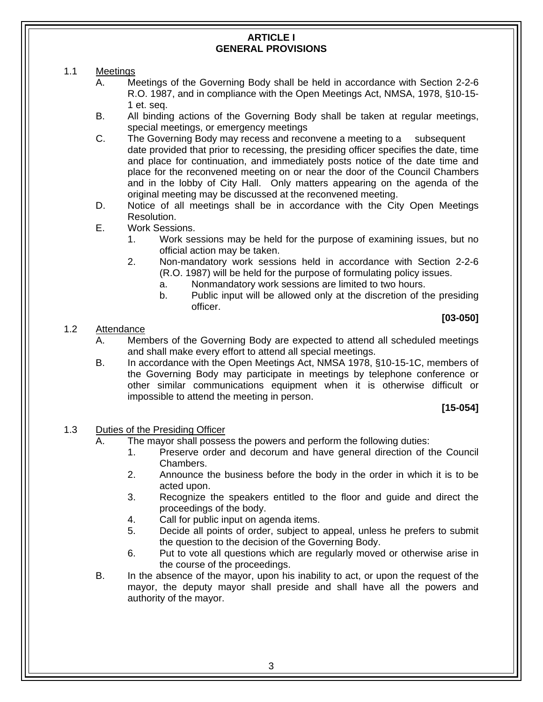#### **ARTICLE I GENERAL PROVISIONS**

- <span id="page-2-0"></span>1.1 Meetings
	- A. Meetings of the Governing Body shall be held in accordance with Section 2-2-6 R.O. 1987, and in compliance with the Open Meetings Act, NMSA, 1978, §10-15- 1 et. seq.
	- B. All binding actions of the Governing Body shall be taken at regular meetings, special meetings, or emergency meetings
	- C. The Governing Body may recess and reconvene a meeting to a subsequent date provided that prior to recessing, the presiding officer specifies the date, time and place for continuation, and immediately posts notice of the date time and place for the reconvened meeting on or near the door of the Council Chambers and in the lobby of City Hall. Only matters appearing on the agenda of the original meeting may be discussed at the reconvened meeting.
	- D. Notice of all meetings shall be in accordance with the City Open Meetings Resolution.
	- E. Work Sessions.
		- 1. Work sessions may be held for the purpose of examining issues, but no official action may be taken.
		- 2. Non-mandatory work sessions held in accordance with Section 2-2-6 (R.O. 1987) will be held for the purpose of formulating policy issues.
			- a. Nonmandatory work sessions are limited to two hours.
			- b. Public input will be allowed only at the discretion of the presiding officer.

# **[03-050]**

#### 1.2 Attendance

- A. Members of the Governing Body are expected to attend all scheduled meetings and shall make every effort to attend all special meetings.
- B. In accordance with the Open Meetings Act, NMSA 1978, §10-15-1C, members of the Governing Body may participate in meetings by telephone conference or other similar communications equipment when it is otherwise difficult or impossible to attend the meeting in person.

# **[15-054]**

# 1.3 Duties of the Presiding Officer

- A. The mayor shall possess the powers and perform the following duties:
	- 1. Preserve order and decorum and have general direction of the Council Chambers.
	- 2. Announce the business before the body in the order in which it is to be acted upon.
	- 3. Recognize the speakers entitled to the floor and guide and direct the proceedings of the body.
	- 4. Call for public input on agenda items.
	- 5. Decide all points of order, subject to appeal, unless he prefers to submit the question to the decision of the Governing Body.
	- 6. Put to vote all questions which are regularly moved or otherwise arise in the course of the proceedings.
- B. In the absence of the mayor, upon his inability to act, or upon the request of the mayor, the deputy mayor shall preside and shall have all the powers and authority of the mayor.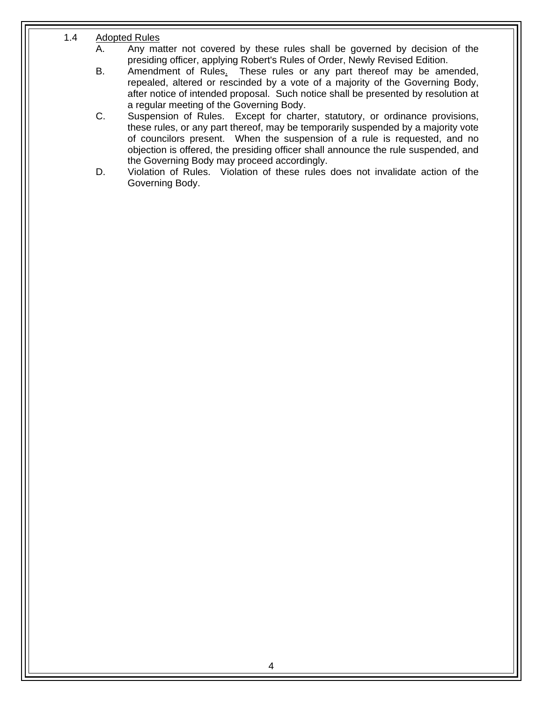# <span id="page-3-0"></span>1.4 Adopted Rules

- A. Any matter not covered by these rules shall be governed by decision of the presiding officer, applying Robert's Rules of Order, Newly Revised Edition.
- B. Amendment of Rules. These rules or any part thereof may be amended, repealed, altered or rescinded by a vote of a majority of the Governing Body, after notice of intended proposal. Such notice shall be presented by resolution at a regular meeting of the Governing Body.
- C. Suspension of Rules. Except for charter, statutory, or ordinance provisions, these rules, or any part thereof, may be temporarily suspended by a majority vote of councilors present. When the suspension of a rule is requested, and no objection is offered, the presiding officer shall announce the rule suspended, and the Governing Body may proceed accordingly.
- D. Violation of Rules. Violation of these rules does not invalidate action of the Governing Body.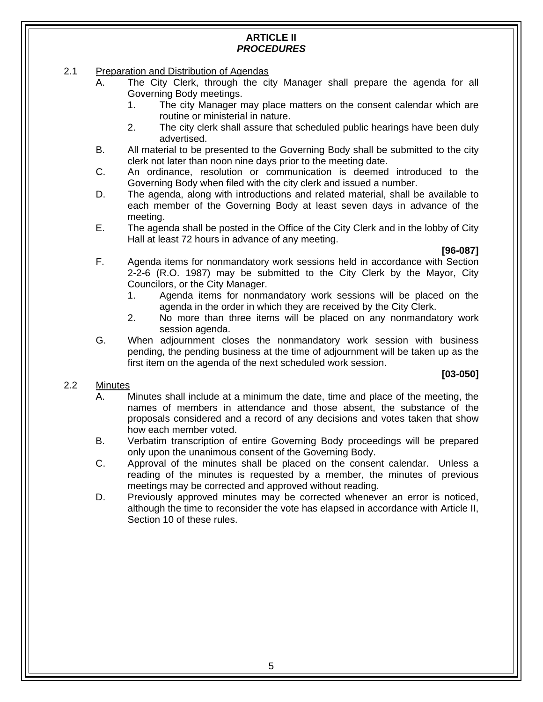# **ARTICLE II**  *PROCEDURES*

- <span id="page-4-0"></span>2.1 Preparation and Distribution of Agendas
	- A. The City Clerk, through the city Manager shall prepare the agenda for all Governing Body meetings.
		- 1. The city Manager may place matters on the consent calendar which are routine or ministerial in nature.
		- 2. The city clerk shall assure that scheduled public hearings have been duly advertised.
	- B. All material to be presented to the Governing Body shall be submitted to the city clerk not later than noon nine days prior to the meeting date.
	- C. An ordinance, resolution or communication is deemed introduced to the Governing Body when filed with the city clerk and issued a number.
	- D. The agenda, along with introductions and related material, shall be available to each member of the Governing Body at least seven days in advance of the meeting.
	- E. The agenda shall be posted in the Office of the City Clerk and in the lobby of City Hall at least 72 hours in advance of any meeting.

**[96-087]** 

- F. Agenda items for nonmandatory work sessions held in accordance with Section 2-2-6 (R.O. 1987) may be submitted to the City Clerk by the Mayor, City Councilors, or the City Manager.
	- 1. Agenda items for nonmandatory work sessions will be placed on the agenda in the order in which they are received by the City Clerk.
	- 2. No more than three items will be placed on any nonmandatory work session agenda.
- G. When adjournment closes the nonmandatory work session with business pending, the pending business at the time of adjournment will be taken up as the first item on the agenda of the next scheduled work session.

- 2.2 Minutes
	- A. Minutes shall include at a minimum the date, time and place of the meeting, the names of members in attendance and those absent, the substance of the proposals considered and a record of any decisions and votes taken that show how each member voted.
	- B. Verbatim transcription of entire Governing Body proceedings will be prepared only upon the unanimous consent of the Governing Body.
	- C. Approval of the minutes shall be placed on the consent calendar. Unless a reading of the minutes is requested by a member, the minutes of previous meetings may be corrected and approved without reading.
	- D. Previously approved minutes may be corrected whenever an error is noticed, although the time to reconsider the vote has elapsed in accordance with Article II, Section 10 of these rules.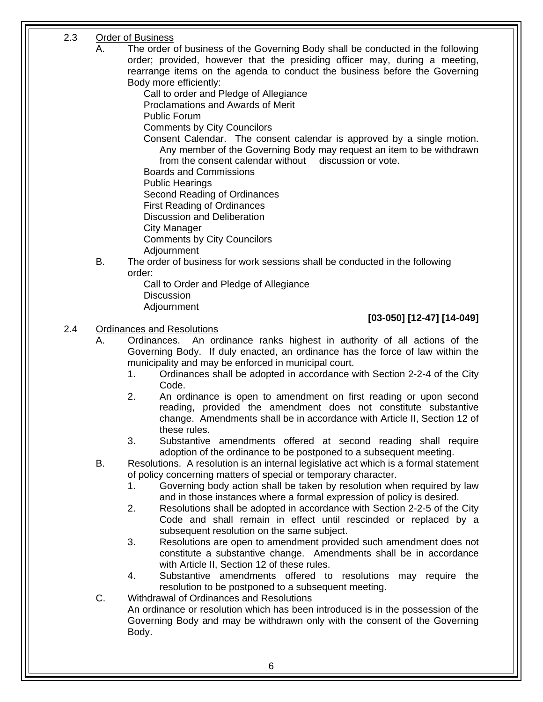# <span id="page-5-0"></span>2.3 Order of Business

- A. The order of business of the Governing Body shall be conducted in the following order; provided, however that the presiding officer may, during a meeting, rearrange items on the agenda to conduct the business before the Governing Body more efficiently:
	- Call to order and Pledge of Allegiance
	- Proclamations and Awards of Merit
	- Public Forum
	- Comments by City Councilors
	- Consent Calendar. The consent calendar is approved by a single motion. Any member of the Governing Body may request an item to be withdrawn from the consent calendar without discussion or vote.
	- Boards and Commissions
	- Public Hearings
	- Second Reading of Ordinances
	- First Reading of Ordinances
	- Discussion and Deliberation
	- City Manager
	- Comments by City Councilors
	- Adjournment
- B. The order of business for work sessions shall be conducted in the following order:
	- Call to Order and Pledge of Allegiance **Discussion**
	- Adjournment

# **[03-050] [12-47] [14-049]**

# 2.4 Ordinances and Resolutions

- A. Ordinances. An ordinance ranks highest in authority of all actions of the Governing Body. If duly enacted, an ordinance has the force of law within the municipality and may be enforced in municipal court.
	- 1. Ordinances shall be adopted in accordance with Section 2-2-4 of the City Code.
	- 2. An ordinance is open to amendment on first reading or upon second reading, provided the amendment does not constitute substantive change. Amendments shall be in accordance with Article II, Section 12 of these rules.
	- 3. Substantive amendments offered at second reading shall require adoption of the ordinance to be postponed to a subsequent meeting.
- B. Resolutions. A resolution is an internal legislative act which is a formal statement of policy concerning matters of special or temporary character.
	- 1. Governing body action shall be taken by resolution when required by law and in those instances where a formal expression of policy is desired.
	- 2. Resolutions shall be adopted in accordance with Section 2-2-5 of the City Code and shall remain in effect until rescinded or replaced by a subsequent resolution on the same subject.
	- 3. Resolutions are open to amendment provided such amendment does not constitute a substantive change. Amendments shall be in accordance with Article II, Section 12 of these rules.
	- 4. Substantive amendments offered to resolutions may require the resolution to be postponed to a subsequent meeting.
- C. Withdrawal of Ordinances and Resolutions
	- An ordinance or resolution which has been introduced is in the possession of the Governing Body and may be withdrawn only with the consent of the Governing Body.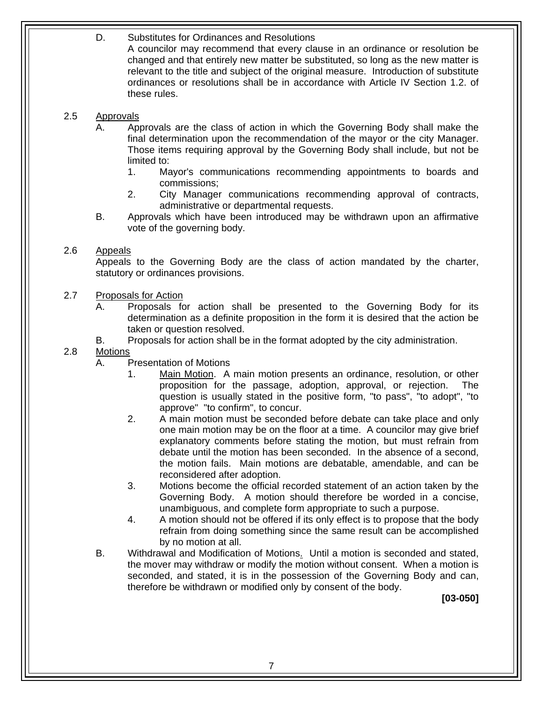<span id="page-6-0"></span> relevant to the title and subject of the original measure. Introduction of substitute D. Substitutes for Ordinances and Resolutions A councilor may recommend that every clause in an ordinance or resolution be changed and that entirely new matter be substituted, so long as the new matter is ordinances or resolutions shall be in accordance with Article IV Section 1.2. of these rules.

# 2.5 Approvals

- A. Approvals are the class of action in which the Governing Body shall make the final determination upon the recommendation of the mayor or the city Manager. Those items requiring approval by the Governing Body shall include, but not be limited to:
	- 1. Mayor's communications recommending appointments to boards and commissions;
	- 2. City Manager communications recommending approval of contracts, administrative or departmental requests.
- B. Approvals which have been introduced may be withdrawn upon an affirmative vote of the governing body.

# 2.6 Appeals

Appeals to the Governing Body are the class of action mandated by the charter, statutory or ordinances provisions.

# 2.7 Proposals for Action

- determination as a definite proposition in the form it is desired that the action be A. Proposals for action shall be presented to the Governing Body for its taken or question resolved.
- B. Proposals for action shall be in the format adopted by the city administration.

# 2.8 Motions

- A. Presentation of Motions
	- 1. Main Motion. A main motion presents an ordinance, resolution, or other proposition for the passage, adoption, approval, or rejection. The question is usually stated in the positive form, "to pass", "to adopt", "to approve" "to confirm", to concur.
	- 2. A main motion must be seconded before debate can take place and only one main motion may be on the floor at a time. A councilor may give brief explanatory comments before stating the motion, but must refrain from debate until the motion has been seconded. In the absence of a second, the motion fails. Main motions are debatable, amendable, and can be reconsidered after adoption.
	- 3. Motions become the official recorded statement of an action taken by the Governing Body. A motion should therefore be worded in a concise, unambiguous, and complete form appropriate to such a purpose.
	- 4. A motion should not be offered if its only effect is to propose that the body refrain from doing something since the same result can be accomplished by no motion at all.
- B. Withdrawal and Modification of Motions. Until a motion is seconded and stated, the mover may withdraw or modify the motion without consent. When a motion is seconded, and stated, it is in the possession of the Governing Body and can, therefore be withdrawn or modified only by consent of the body.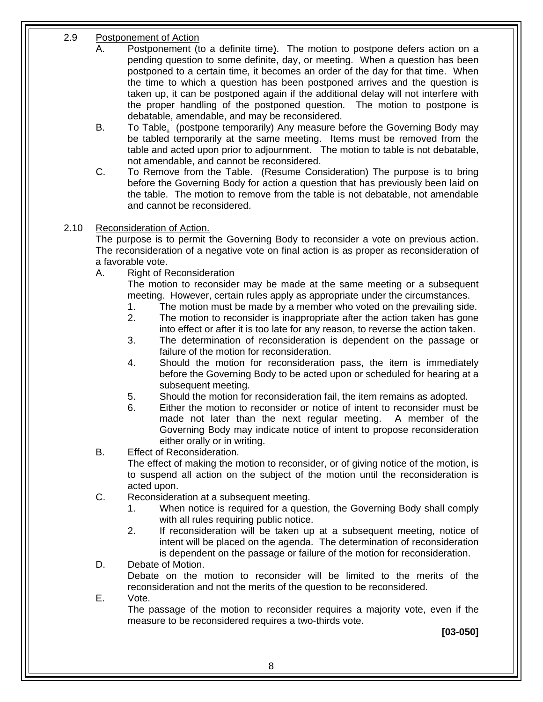# <span id="page-7-0"></span>2.9 Postponement of Action

- A. Postponement (to a definite time). The motion to postpone defers action on a pending question to some definite, day, or meeting. When a question has been postponed to a certain time, it becomes an order of the day for that time. When the time to which a question has been postponed arrives and the question is taken up, it can be postponed again if the additional delay will not interfere with the proper handling of the postponed question. The motion to postpone is debatable, amendable, and may be reconsidered.
- B. To Table. (postpone temporarily) Any measure before the Governing Body may be tabled temporarily at the same meeting. Items must be removed from the table and acted upon prior to adjournment. The motion to table is not debatable. not amendable, and cannot be reconsidered.
- C. To Remove from the Table. (Resume Consideration) The purpose is to bring before the Governing Body for action a question that has previously been laid on the table. The motion to remove from the table is not debatable, not amendable and cannot be reconsidered.

# 2.10 Reconsideration of Action.

The purpose is to permit the Governing Body to reconsider a vote on previous action. The reconsideration of a negative vote on final action is as proper as reconsideration of a favorable vote.

A. Right of Reconsideration

The motion to reconsider may be made at the same meeting or a subsequent meeting. However, certain rules apply as appropriate under the circumstances.

- 1. The motion must be made by a member who voted on the prevailing side.
- 2. The motion to reconsider is inappropriate after the action taken has gone into effect or after it is too late for any reason, to reverse the action taken.
- 3. The determination of reconsideration is dependent on the passage or failure of the motion for reconsideration.
- 4. Should the motion for reconsideration pass, the item is immediately before the Governing Body to be acted upon or scheduled for hearing at a subsequent meeting.
- 5. Should the motion for reconsideration fail, the item remains as adopted.
- either orally or in writing. 6. Either the motion to reconsider or notice of intent to reconsider must be made not later than the next regular meeting. A member of the Governing Body may indicate notice of intent to propose reconsideration
- B. Effect of Reconsideration.

The effect of making the motion to reconsider, or of giving notice of the motion, is to suspend all action on the subject of the motion until the reconsideration is acted upon.

- C. Reconsideration at a subsequent meeting.
	- 1. When notice is required for a question, the Governing Body shall comply with all rules requiring public notice.
	- 2. If reconsideration will be taken up at a subsequent meeting, notice of intent will be placed on the agenda. The determination of reconsideration is dependent on the passage or failure of the motion for reconsideration.

# D. Debate of Motion.

Debate on the motion to reconsider will be limited to the merits of the reconsideration and not the merits of the question to be reconsidered.

# E. Vote.

The passage of the motion to reconsider requires a majority vote, even if the measure to be reconsidered requires a two-thirds vote.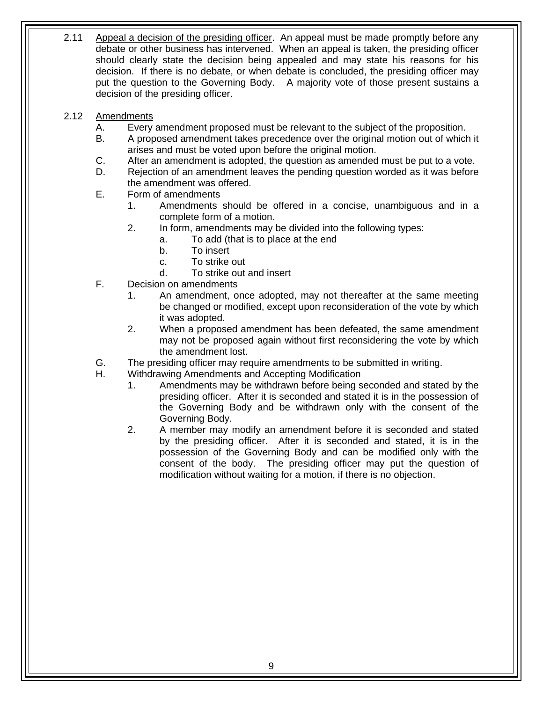- <span id="page-8-0"></span>2.11 Appeal a decision of the presiding officer. An appeal must be made promptly before any debate or other business has intervened. When an appeal is taken, the presiding officer should clearly state the decision being appealed and may state his reasons for his decision. If there is no debate, or when debate is concluded, the presiding officer may put the question to the Governing Body. A majority vote of those present sustains a decision of the presiding officer.
- 2.12 Amendments
	- A. Every amendment proposed must be relevant to the subject of the proposition.
	- B. A proposed amendment takes precedence over the original motion out of which it arises and must be voted upon before the original motion.
	- C. After an amendment is adopted, the question as amended must be put to a vote.
	- D. Rejection of an amendment leaves the pending question worded as it was before the amendment was offered.
	- E. Form of amendments
		- 1. Amendments should be offered in a concise, unambiguous and in a complete form of a motion.
		- 2. In form, amendments may be divided into the following types:
			- a. To add (that is to place at the end
			- b. To insert
			- c. To strike out
			- d. To strike out and insert
	- F. Decision on amendments
		- 1. An amendment, once adopted, may not thereafter at the same meeting be changed or modified, except upon reconsideration of the vote by which it was adopted.
		- 2. When a proposed amendment has been defeated, the same amendment may not be proposed again without first reconsidering the vote by which the amendment lost.
	- G. The presiding officer may require amendments to be submitted in writing.
	- H. Withdrawing Amendments and Accepting Modification
		- 1. Amendments may be withdrawn before being seconded and stated by the presiding officer. After it is seconded and stated it is in the possession of the Governing Body and be withdrawn only with the consent of the Governing Body.
		- 2. A member may modify an amendment before it is seconded and stated by the presiding officer. After it is seconded and stated, it is in the possession of the Governing Body and can be modified only with the consent of the body. The presiding officer may put the question of modification without waiting for a motion, if there is no objection.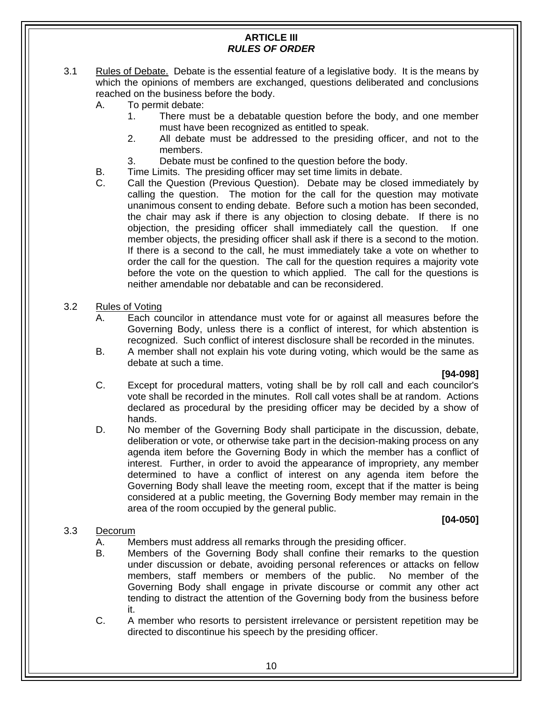# **ARTICLE III**  *RULES OF ORDER*

- <span id="page-9-0"></span>3.1 Rules of Debate. Debate is the essential feature of a legislative body. It is the means by which the opinions of members are exchanged, questions deliberated and conclusions reached on the business before the body.
	- A. To permit debate:
		- must have been recognized as entitled to speak. 1. There must be a debatable question before the body, and one member
		- 2. All debate must be addressed to the presiding officer, and not to the members.
		- 3. Debate must be confined to the question before the body.
	- B. Time Limits. The presiding officer may set time limits in debate.
	- member objects, the presiding officer shall ask if there is a second to the motion. C. Call the Question (Previous Question). Debate may be closed immediately by calling the question. The motion for the call for the question may motivate unanimous consent to ending debate. Before such a motion has been seconded, the chair may ask if there is any objection to closing debate. If there is no objection, the presiding officer shall immediately call the question. If one If there is a second to the call, he must immediately take a vote on whether to order the call for the question. The call for the question requires a majority vote before the vote on the question to which applied. The call for the questions is neither amendable nor debatable and can be reconsidered.
- 3.2 Rules of Voting
	- A. Each councilor in attendance must vote for or against all measures before the Governing Body, unless there is a conflict of interest, for which abstention is recognized. Such conflict of interest disclosure shall be recorded in the minutes.
	- B. A member shall not explain his vote during voting, which would be the same as debate at such a time.

#### **[94-098]**

- C. Except for procedural matters, voting shall be by roll call and each councilor's vote shall be recorded in the minutes. Roll call votes shall be at random. Actions declared as procedural by the presiding officer may be decided by a show of hands.
- D. No member of the Governing Body shall participate in the discussion, debate, deliberation or vote, or otherwise take part in the decision-making process on any agenda item before the Governing Body in which the member has a conflict of interest. Further, in order to avoid the appearance of impropriety, any member determined to have a conflict of interest on any agenda item before the Governing Body shall leave the meeting room, except that if the matter is being considered at a public meeting, the Governing Body member may remain in the area of the room occupied by the general public.

# **[04-050]**

# 3.3 Decorum

- A. Members must address all remarks through the presiding officer.
- B. Members of the Governing Body shall confine their remarks to the question under discussion or debate, avoiding personal references or attacks on fellow members, staff members or members of the public. No member of the Governing Body shall engage in private discourse or commit any other act tending to distract the attention of the Governing body from the business before it.
- C. A member who resorts to persistent irrelevance or persistent repetition may be directed to discontinue his speech by the presiding officer.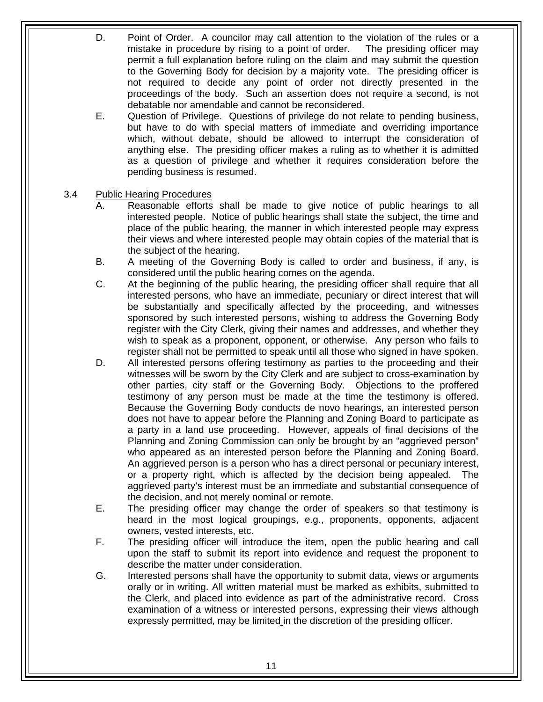- <span id="page-10-0"></span>The presiding officer may D. Point of Order. A councilor may call attention to the violation of the rules or a mistake in procedure by rising to a point of order. permit a full explanation before ruling on the claim and may submit the question to the Governing Body for decision by a majority vote. The presiding officer is not required to decide any point of order not directly presented in the proceedings of the body. Such an assertion does not require a second, is not debatable nor amendable and cannot be reconsidered.
- E. Question of Privilege. Questions of privilege do not relate to pending business, but have to do with special matters of immediate and overriding importance which, without debate, should be allowed to interrupt the consideration of anything else. The presiding officer makes a ruling as to whether it is admitted as a question of privilege and whether it requires consideration before the pending business is resumed.

# 3.4 Public Hearing Procedures

- A. Reasonable efforts shall be made to give notice of public hearings to all interested people. Notice of public hearings shall state the subject, the time and place of the public hearing, the manner in which interested people may express their views and where interested people may obtain copies of the material that is the subject of the hearing.
- B. A meeting of the Governing Body is called to order and business, if any, is considered until the public hearing comes on the agenda.
- C. At the beginning of the public hearing, the presiding officer shall require that all interested persons, who have an immediate, pecuniary or direct interest that will be substantially and specifically affected by the proceeding, and witnesses sponsored by such interested persons, wishing to address the Governing Body register with the City Clerk, giving their names and addresses, and whether they wish to speak as a proponent, opponent, or otherwise. Any person who fails to register shall not be permitted to speak until all those who signed in have spoken.
- other parties, city staff or the Governing Body. Objections to the proffered testimony of any person must be made at the time the testimony is offered. D. All interested persons offering testimony as parties to the proceeding and their witnesses will be sworn by the City Clerk and are subject to cross-examination by Because the Governing Body conducts de novo hearings, an interested person does not have to appear before the Planning and Zoning Board to participate as a party in a land use proceeding. However, appeals of final decisions of the Planning and Zoning Commission can only be brought by an "aggrieved person" who appeared as an interested person before the Planning and Zoning Board. An aggrieved person is a person who has a direct personal or pecuniary interest, or a property right, which is affected by the decision being appealed. The aggrieved party's interest must be an immediate and substantial consequence of the decision, and not merely nominal or remote.
- E. The presiding officer may change the order of speakers so that testimony is heard in the most logical groupings, e.g., proponents, opponents, adjacent owners, vested interests, etc.
- F. The presiding officer will introduce the item, open the public hearing and call upon the staff to submit its report into evidence and request the proponent to describe the matter under consideration.
- G. Interested persons shall have the opportunity to submit data, views or arguments orally or in writing. All written material must be marked as exhibits, submitted to the Clerk, and placed into evidence as part of the administrative record. Cross examination of a witness or interested persons, expressing their views although expressly permitted, may be limited in the discretion of the presiding officer.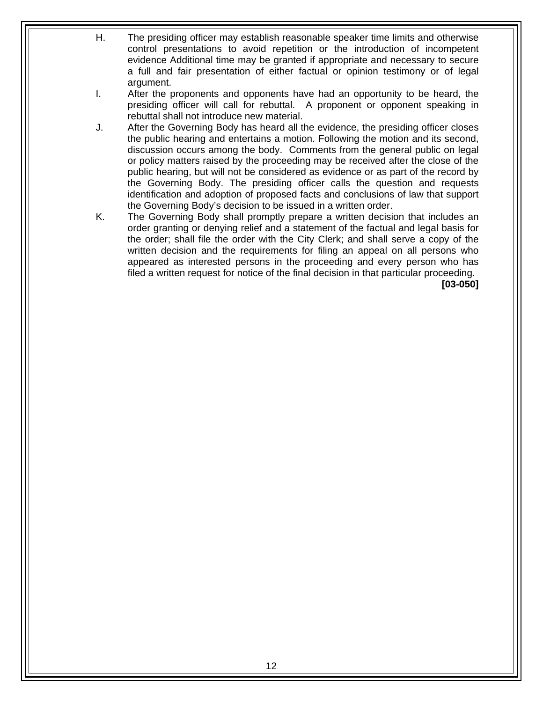- H. The presiding officer may establish reasonable speaker time limits and otherwise control presentations to avoid repetition or the introduction of incompetent evidence Additional time may be granted if appropriate and necessary to secure a full and fair presentation of either factual or opinion testimony or of legal argument.
- I. After the proponents and opponents have had an opportunity to be heard, the presiding officer will call for rebuttal. A proponent or opponent speaking in rebuttal shall not introduce new material.
- J. After the Governing Body has heard all the evidence, the presiding officer closes the public hearing and entertains a motion. Following the motion and its second, discussion occurs among the body. Comments from the general public on legal or policy matters raised by the proceeding may be received after the close of the public hearing, but will not be considered as evidence or as part of the record by the Governing Body. The presiding officer calls the question and requests identification and adoption of proposed facts and conclusions of law that support the Governing Body's decision to be issued in a written order.
- K. The Governing Body shall promptly prepare a written decision that includes an order granting or denying relief and a statement of the factual and legal basis for the order; shall file the order with the City Clerk; and shall serve a copy of the written decision and the requirements for filing an appeal on all persons who appeared as interested persons in the proceeding and every person who has filed a written request for notice of the final decision in that particular proceeding.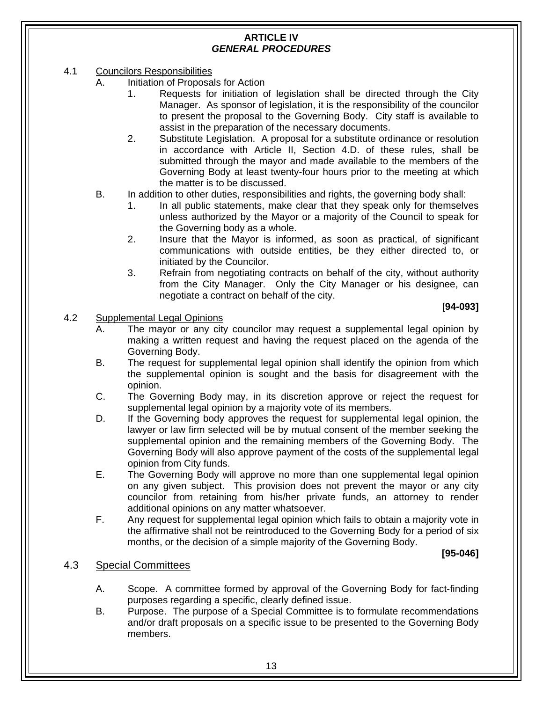# **ARTICLE IV**  *GENERAL PROCEDURES*

- <span id="page-12-0"></span>4.1 Councilors Responsibilities
	- A. Initiation of Proposals for Action
		- 1. Requests for initiation of legislation shall be directed through the City Manager. As sponsor of legislation, it is the responsibility of the councilor to present the proposal to the Governing Body. City staff is available to assist in the preparation of the necessary documents.
		- 2. Substitute Legislation. A proposal for a substitute ordinance or resolution in accordance with Article II, Section 4.D. of these rules, shall be submitted through the mayor and made available to the members of the Governing Body at least twenty-four hours prior to the meeting at which the matter is to be discussed.
	- B. In addition to other duties, responsibilities and rights, the governing body shall:
		- 1. In all public statements, make clear that they speak only for themselves unless authorized by the Mayor or a majority of the Council to speak for the Governing body as a whole.
		- 2. Insure that the Mayor is informed, as soon as practical, of significant communications with outside entities, be they either directed to, or initiated by the Councilor.
		- 3. Refrain from negotiating contracts on behalf of the city, without authority from the City Manager. Only the City Manager or his designee, can negotiate a contract on behalf of the city.

#### [**94-093]**

- 4.2 Supplemental Legal Opinions
	- A. The mayor or any city councilor may request a supplemental legal opinion by making a written request and having the request placed on the agenda of the Governing Body.
	- B. The request for supplemental legal opinion shall identify the opinion from which the supplemental opinion is sought and the basis for disagreement with the opinion.
	- C. The Governing Body may, in its discretion approve or reject the request for supplemental legal opinion by a majority vote of its members.
	- D. If the Governing body approves the request for supplemental legal opinion, the lawyer or law firm selected will be by mutual consent of the member seeking the supplemental opinion and the remaining members of the Governing Body. The Governing Body will also approve payment of the costs of the supplemental legal opinion from City funds.
	- E. The Governing Body will approve no more than one supplemental legal opinion on any given subject. This provision does not prevent the mayor or any city councilor from retaining from his/her private funds, an attorney to render additional opinions on any matter whatsoever.
	- F. Any request for supplemental legal opinion which fails to obtain a majority vote in the affirmative shall not be reintroduced to the Governing Body for a period of six months, or the decision of a simple majority of the Governing Body.

**[95-046]** 

# 4.3 Special Committees

- A. Scope. A committee formed by approval of the Governing Body for fact-finding purposes regarding a specific, clearly defined issue.
- B. Purpose. The purpose of a Special Committee is to formulate recommendations and/or draft proposals on a specific issue to be presented to the Governing Body members.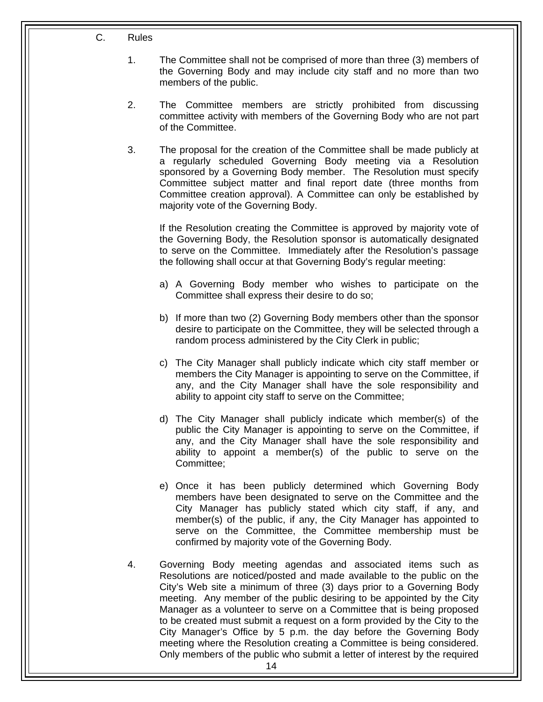- C. Rules
	- 1. The Committee shall not be comprised of more than three (3) members of the Governing Body and may include city staff and no more than two members of the public.
	- 2. The Committee members are strictly prohibited from discussing committee activity with members of the Governing Body who are not part of the Committee.
	- 3. The proposal for the creation of the Committee shall be made publicly at a regularly scheduled Governing Body meeting via a Resolution sponsored by a Governing Body member. The Resolution must specify Committee subject matter and final report date (three months from Committee creation approval). A Committee can only be established by majority vote of the Governing Body.

If the Resolution creating the Committee is approved by majority vote of the Governing Body, the Resolution sponsor is automatically designated to serve on the Committee. Immediately after the Resolution's passage the following shall occur at that Governing Body's regular meeting:

- a) A Governing Body member who wishes to participate on the Committee shall express their desire to do so;
- b) If more than two (2) Governing Body members other than the sponsor desire to participate on the Committee, they will be selected through a random process administered by the City Clerk in public;
- c) The City Manager shall publicly indicate which city staff member or members the City Manager is appointing to serve on the Committee, if any, and the City Manager shall have the sole responsibility and ability to appoint city staff to serve on the Committee;
- d) The City Manager shall publicly indicate which member(s) of the public the City Manager is appointing to serve on the Committee, if any, and the City Manager shall have the sole responsibility and ability to appoint a member(s) of the public to serve on the Committee;
- e) Once it has been publicly determined which Governing Body members have been designated to serve on the Committee and the City Manager has publicly stated which city staff, if any, and member(s) of the public, if any, the City Manager has appointed to serve on the Committee, the Committee membership must be confirmed by majority vote of the Governing Body.
- 4. Governing Body meeting agendas and associated items such as Resolutions are noticed/posted and made available to the public on the City's Web site a minimum of three (3) days prior to a Governing Body meeting. Any member of the public desiring to be appointed by the City Manager as a volunteer to serve on a Committee that is being proposed to be created must submit a request on a form provided by the City to the City Manager's Office by 5 p.m. the day before the Governing Body meeting where the Resolution creating a Committee is being considered. Only members of the public who submit a letter of interest by the required